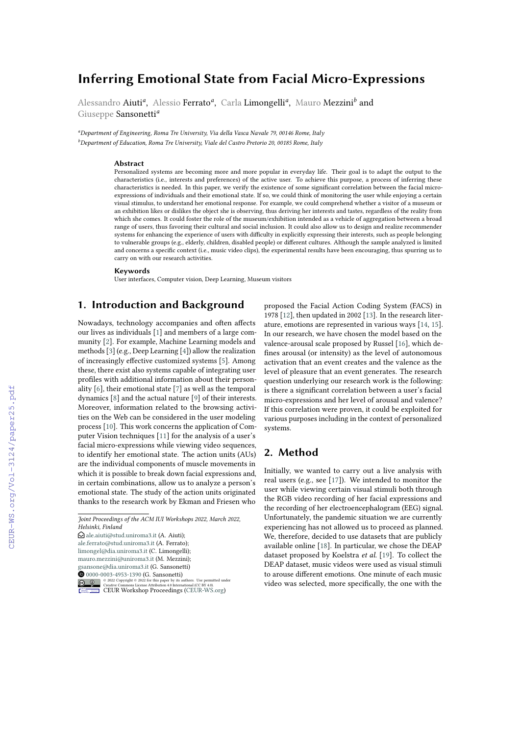# **Inferring Emotional State from Facial Micro-Expressions**

Alessandro Aiuti<sup>a</sup>, Alessio Ferrato<sup>a</sup>, Carla Limongelli<sup>a</sup>, Mauro Mezzini<sup>b</sup> and Giuseppe Sansonetti*<sup>a</sup>*

*<sup>a</sup>Department of Engineering, Roma Tre University, Via della Vasca Navale 79, 00146 Rome, Italy <sup>b</sup>Department of Education, Roma Tre University, Viale del Castro Pretorio 20, 00185 Rome, Italy*

### **Abstract**

Personalized systems are becoming more and more popular in everyday life. Their goal is to adapt the output to the characteristics (i.e., interests and preferences) of the active user. To achieve this purpose, a process of inferring these characteristics is needed. In this paper, we verify the existence of some significant correlation between the facial microexpressions of individuals and their emotional state. If so, we could think of monitoring the user while enjoying a certain visual stimulus, to understand her emotional response. For example, we could comprehend whether a visitor of a museum or an exhibition likes or dislikes the object she is observing, thus deriving her interests and tastes, regardless of the reality from which she comes. It could foster the role of the museum/exhibition intended as a vehicle of aggregation between a broad range of users, thus favoring their cultural and social inclusion. It could also allow us to design and realize recommender systems for enhancing the experience of users with difficulty in explicitly expressing their interests, such as people belonging to vulnerable groups (e.g., elderly, children, disabled people) or different cultures. Although the sample analyzed is limited and concerns a specific context (i.e., music video clips), the experimental results have been encouraging, thus spurring us to carry on with our research activities.

#### **Keywords**

User interfaces, Computer vision, Deep Learning, Museum visitors

# **1. Introduction and Background**

Nowadays, technology accompanies and often affects our lives as individuals [\[1\]](#page--1-0) and members of a large community [\[2\]](#page--1-1). For example, Machine Learning models and methods [\[3\]](#page--1-2) (e.g., Deep Learning [\[4\]](#page--1-3)) allow the realization of increasingly effective customized systems [\[5\]](#page--1-4). Among these, there exist also systems capable of integrating user profiles with additional information about their personality [\[6\]](#page--1-5), their emotional state [\[7\]](#page--1-6) as well as the temporal dynamics [\[8\]](#page--1-7) and the actual nature [\[9\]](#page--1-8) of their interests. Moreover, information related to the browsing activities on the Web can be considered in the user modeling process [\[10\]](#page--1-9). This work concerns the application of Computer Vision techniques [\[11\]](#page--1-10) for the analysis of a user's facial micro-expressions while viewing video sequences, to identify her emotional state. The action units (AUs) are the individual components of muscle movements in which it is possible to break down facial expressions and, in certain combinations, allow us to analyze a person's emotional state. The study of the action units originated thanks to the research work by Ekman and Friesen who

 $\bigcirc$  [ale.aiuti@stud.uniroma3.it](mailto:ale.aiuti@stud.uniroma3.it) (A. Aiuti); [ale.ferrato@stud.uniroma3.it](mailto:ale.ferrato@stud.uniroma3.it) (A. Ferrato); [limongel@dia.uniroma3.it](mailto:limongel@dia.uniroma3.it) (C. Limongelli);

[mauro.mezzini@uniroma3.it](mailto:mauro.mezzini@uniroma3.it) (M. Mezzini);

[gsansone@dia.uniroma3.it](mailto:gsansone@dia.uniroma3.it) (G. Sansonetti)



proposed the Facial Action Coding System (FACS) in 1978 [\[12\]](#page--1-11), then updated in 2002 [\[13\]](#page--1-12). In the research literature, emotions are represented in various ways [\[14,](#page--1-13) [15\]](#page--1-14). In our research, we have chosen the model based on the valence-arousal scale proposed by Russel [\[16\]](#page--1-15), which defines arousal (or intensity) as the level of autonomous activation that an event creates and the valence as the level of pleasure that an event generates. The research question underlying our research work is the following: is there a significant correlation between a user's facial micro-expressions and her level of arousal and valence? If this correlation were proven, it could be exploited for various purposes including in the context of personalized systems.

## **2. Method**

Initially, we wanted to carry out a live analysis with real users (e.g., see [\[17\]](#page--1-16)). We intended to monitor the user while viewing certain visual stimuli both through the RGB video recording of her facial expressions and the recording of her electroencephalogram (EEG) signal. Unfortunately, the pandemic situation we are currently experiencing has not allowed us to proceed as planned. We, therefore, decided to use datasets that are publicly available online [\[18\]](#page--1-17). In particular, we chose the DEAP dataset proposed by Koelstra *et al.* [\[19\]](#page--1-18). To collect the DEAP dataset, music videos were used as visual stimuli to arouse different emotions. One minute of each music video was selected, more specifically, the one with the

*Joint Proceedings of the ACM IUI Workshops 2022, March 2022, Helsinki, Finland*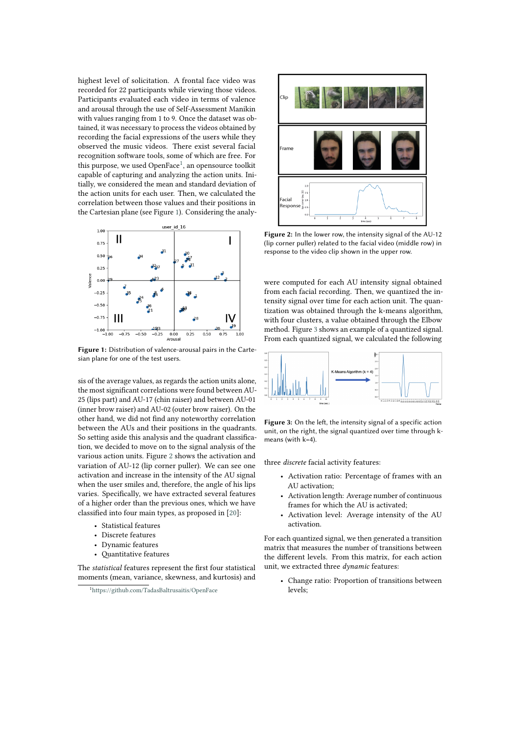highest level of solicitation. A frontal face video was recorded for 22 participants while viewing those videos. Participants evaluated each video in terms of valence and arousal through the use of Self-Assessment Manikin with values ranging from 1 to 9. Once the dataset was obtained, it was necessary to process the videos obtained by recording the facial expressions of the users while they observed the music videos. There exist several facial recognition software tools, some of which are free. For this purpose, we used OpenFace<sup>[1](#page-1-0)</sup>, an opensource toolkit capable of capturing and analyzing the action units. Initially, we considered the mean and standard deviation of the action units for each user. Then, we calculated the correlation between those values and their positions in the Cartesian plane (see Figure [1\)](#page-1-1). Considering the analy-



**Figure 1:** Distribution of valence-arousal pairs in the Cartesian plane for one of the test users.

sis of the average values, as regards the action units alone, the most significant correlations were found between AU-25 (lips part) and AU-17 (chin raiser) and between AU-01 (inner brow raiser) and AU-02 (outer brow raiser). On the other hand, we did not find any noteworthy correlation between the AUs and their positions in the quadrants. So setting aside this analysis and the quadrant classification, we decided to move on to the signal analysis of the various action units. Figure [2](#page-1-2) shows the activation and variation of AU-12 (lip corner puller). We can see one activation and increase in the intensity of the AU signal when the user smiles and, therefore, the angle of his lips varies. Specifically, we have extracted several features of a higher order than the previous ones, which we have classified into four main types, as proposed in [\[20\]](#page-3-0):

- Statistical features
- Discrete features
- Dynamic features
- Quantitative features

The *statistical* features represent the first four statistical moments (mean, variance, skewness, and kurtosis) and



<span id="page-1-2"></span>**Figure 2:** In the lower row, the intensity signal of the AU-12 (lip corner puller) related to the facial video (middle row) in response to the video clip shown in the upper row.

were computed for each AU intensity signal obtained from each facial recording. Then, we quantized the intensity signal over time for each action unit. The quantization was obtained through the k-means algorithm, with four clusters, a value obtained through the Elbow method. Figure [3](#page-1-3) shows an example of a quantized signal. From each quantized signal, we calculated the following

<span id="page-1-1"></span>

**Figure 3:** On the left, the intensity signal of a specific action unit, on the right, the signal quantized over time through kmeans (with k=4).

three *discrete* facial activity features:

- <span id="page-1-3"></span>• Activation ratio: Percentage of frames with an AU activation;
- Activation length: Average number of continuous frames for which the AU is activated;
- Activation level: Average intensity of the AU activation.

For each quantized signal, we then generated a transition matrix that measures the number of transitions between the different levels. From this matrix, for each action unit, we extracted three *dynamic* features:

• Change ratio: Proportion of transitions between levels;

<span id="page-1-0"></span><sup>1</sup><https://github.com/TadasBaltrusaitis/OpenFace>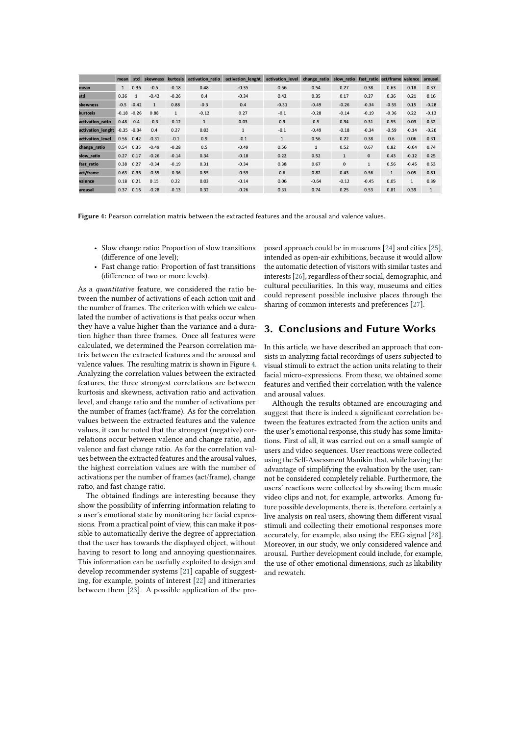|                   | mean          | std          | skewness     | kurtosis     | activation ratio | activation_lenght | activation level | change ratio | slow ratio   | fast ratio act/frame |              | valence      | arousal      |
|-------------------|---------------|--------------|--------------|--------------|------------------|-------------------|------------------|--------------|--------------|----------------------|--------------|--------------|--------------|
| mean              | $\mathbf{1}$  | 0.36         | $-0.5$       | $-0.18$      | 0.48             | $-0.35$           | 0.56             | 0.54         | 0.27         | 0.38                 | 0.63         | 0.18         | 0.37         |
| std               | 0.36          | $\mathbf{1}$ | $-0.42$      | $-0.26$      | 0.4              | $-0.34$           | 0.42             | 0.35         | 0.17         | 0.27                 | 0.36         | 0.21         | 0.16         |
| skewness          | $-0.5$        | $-0.42$      | $\mathbf{1}$ | 0.88         | $-0.3$           | 0.4               | $-0.31$          | $-0.49$      | $-0.26$      | $-0.34$              | $-0.55$      | 0.15         | $-0.28$      |
| kurtosis          | $-0.18$       | $-0.26$      | 0.88         | $\mathbf{1}$ | $-0.12$          | 0.27              | $-0.1$           | $-0.28$      | $-0.14$      | $-0.19$              | $-0.36$      | 0.22         | $-0.13$      |
| activation ratio  | 0.48          | 0.4          | $-0.3$       | $-0.12$      | $\mathbf{1}$     | 0.03              | 0.9              | 0.5          | 0.34         | 0.31                 | 0.55         | 0.03         | 0.32         |
| activation_lenght | $-0.35 -0.34$ |              | 0.4          | 0.27         | 0.03             | $\mathbf{1}$      | $-0.1$           | $-0.49$      | $-0.18$      | $-0.34$              | $-0.59$      | $-0.14$      | $-0.26$      |
| activation level  |               | $0.56$ 0.42  | $-0.31$      | $-0.1$       | 0.9              | $-0.1$            | $\mathbf{1}$     | 0.56         | 0.22         | 0.38                 | 0.6          | 0.06         | 0.31         |
| change ratio      | 0.54          | 0.35         | $-0.49$      | $-0.28$      | 0.5              | $-0.49$           | 0.56             | $\mathbf{1}$ | 0.52         | 0.67                 | 0.82         | $-0.64$      | 0.74         |
| slow ratio        | 0.27          | 0.17         | $-0.26$      | $-0.14$      | 0.34             | $-0.18$           | 0.22             | 0.52         | $\mathbf{1}$ | $\mathbf{0}$         | 0.43         | $-0.12$      | 0.25         |
| fast_ratio        | 0.38          | 0.27         | $-0.34$      | $-0.19$      | 0.31             | $-0.34$           | 0.38             | 0.67         | $\Omega$     | $\mathbf{1}$         | 0.56         | $-0.45$      | 0.53         |
| act/frame         | 0.63          | 0.36         | $-0.55$      | $-0.36$      | 0.55             | $-0.59$           | 0.6              | 0.82         | 0.43         | 0.56                 | $\mathbf{1}$ | 0.05         | 0.81         |
| valence           | 0.18          | 0.21         | 0.15         | 0.22         | 0.03             | $-0.14$           | 0.06             | $-0.64$      | $-0.12$      | $-0.45$              | 0.05         | $\mathbf{1}$ | 0.39         |
| arousal           | 0.37          | 0.16         | $-0.28$      | $-0.13$      | 0.32             | $-0.26$           | 0.31             | 0.74         | 0.25         | 0.53                 | 0.81         | 0.39         | $\mathbf{1}$ |

**Figure 4:** Pearson correlation matrix between the extracted features and the arousal and valence values.

- Slow change ratio: Proportion of slow transitions (difference of one level);
- Fast change ratio: Proportion of fast transitions (difference of two or more levels).

As a *quantitative* feature, we considered the ratio between the number of activations of each action unit and the number of frames. The criterion with which we calculated the number of activations is that peaks occur when they have a value higher than the variance and a duration higher than three frames. Once all features were calculated, we determined the Pearson correlation matrix between the extracted features and the arousal and valence values. The resulting matrix is shown in Figure [4.](#page-2-0) Analyzing the correlation values between the extracted features, the three strongest correlations are between kurtosis and skewness, activation ratio and activation level, and change ratio and the number of activations per the number of frames (act/frame). As for the correlation values between the extracted features and the valence values, it can be noted that the strongest (negative) correlations occur between valence and change ratio, and valence and fast change ratio. As for the correlation values between the extracted features and the arousal values, the highest correlation values are with the number of activations per the number of frames (act/frame), change ratio, and fast change ratio.

The obtained findings are interesting because they show the possibility of inferring information relating to a user's emotional state by monitoring her facial expressions. From a practical point of view, this can make it possible to automatically derive the degree of appreciation that the user has towards the displayed object, without having to resort to long and annoying questionnaires. This information can be usefully exploited to design and develop recommender systems [\[21\]](#page-3-1) capable of suggesting, for example, points of interest [\[22\]](#page-3-2) and itineraries between them [\[23\]](#page-3-3). A possible application of the pro<span id="page-2-0"></span>posed approach could be in museums [\[24\]](#page-3-4) and cities [\[25\]](#page-3-5), intended as open-air exhibitions, because it would allow the automatic detection of visitors with similar tastes and interests [\[26\]](#page-3-6), regardless of their social, demographic, and cultural peculiarities. In this way, museums and cities could represent possible inclusive places through the sharing of common interests and preferences [\[27\]](#page-3-7).

# **3. Conclusions and Future Works**

In this article, we have described an approach that consists in analyzing facial recordings of users subjected to visual stimuli to extract the action units relating to their facial micro-expressions. From these, we obtained some features and verified their correlation with the valence and arousal values.

Although the results obtained are encouraging and suggest that there is indeed a significant correlation between the features extracted from the action units and the user's emotional response, this study has some limitations. First of all, it was carried out on a small sample of users and video sequences. User reactions were collected using the Self-Assessment Manikin that, while having the advantage of simplifying the evaluation by the user, cannot be considered completely reliable. Furthermore, the users' reactions were collected by showing them music video clips and not, for example, artworks. Among future possible developments, there is, therefore, certainly a live analysis on real users, showing them different visual stimuli and collecting their emotional responses more accurately, for example, also using the EEG signal [\[28\]](#page-3-8). Moreover, in our study, we only considered valence and arousal. Further development could include, for example, the use of other emotional dimensions, such as likability and rewatch.